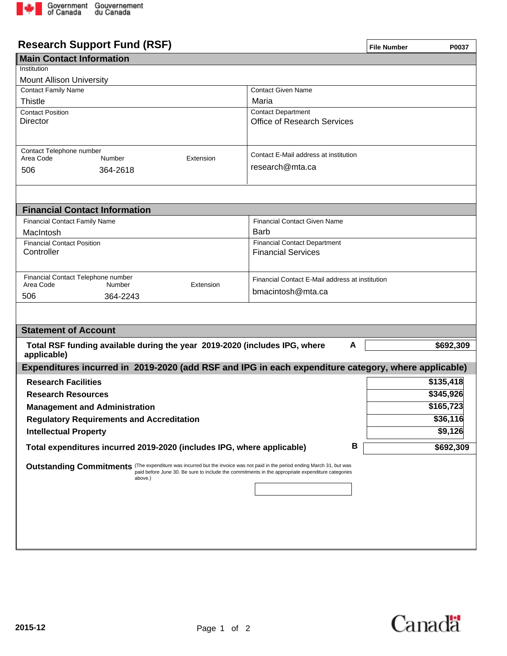

## **Research Support Fund (RSF)**

| <b>Research Support Fund (RSF)</b>                                                                                                                                                                                             |                                                 | <b>File Number</b> | P0037     |  |
|--------------------------------------------------------------------------------------------------------------------------------------------------------------------------------------------------------------------------------|-------------------------------------------------|--------------------|-----------|--|
| <b>Main Contact Information</b>                                                                                                                                                                                                |                                                 |                    |           |  |
| Institution                                                                                                                                                                                                                    |                                                 |                    |           |  |
| <b>Mount Allison University</b>                                                                                                                                                                                                |                                                 |                    |           |  |
| <b>Contact Family Name</b>                                                                                                                                                                                                     | <b>Contact Given Name</b>                       |                    |           |  |
| <b>Thistle</b>                                                                                                                                                                                                                 | Maria                                           |                    |           |  |
| <b>Contact Position</b>                                                                                                                                                                                                        | <b>Contact Department</b>                       |                    |           |  |
| <b>Director</b>                                                                                                                                                                                                                | <b>Office of Research Services</b>              |                    |           |  |
|                                                                                                                                                                                                                                |                                                 |                    |           |  |
|                                                                                                                                                                                                                                |                                                 |                    |           |  |
| Contact Telephone number<br>Area Code<br>Extension<br>Number                                                                                                                                                                   | Contact E-Mail address at institution           |                    |           |  |
| 506<br>364-2618                                                                                                                                                                                                                | research@mta.ca                                 |                    |           |  |
|                                                                                                                                                                                                                                |                                                 |                    |           |  |
|                                                                                                                                                                                                                                |                                                 |                    |           |  |
|                                                                                                                                                                                                                                |                                                 |                    |           |  |
| <b>Financial Contact Information</b>                                                                                                                                                                                           |                                                 |                    |           |  |
| <b>Financial Contact Family Name</b>                                                                                                                                                                                           | <b>Financial Contact Given Name</b>             |                    |           |  |
| MacIntosh                                                                                                                                                                                                                      | Barb                                            |                    |           |  |
| <b>Financial Contact Position</b>                                                                                                                                                                                              | <b>Financial Contact Department</b>             |                    |           |  |
| Controller                                                                                                                                                                                                                     | <b>Financial Services</b>                       |                    |           |  |
|                                                                                                                                                                                                                                |                                                 |                    |           |  |
| Financial Contact Telephone number                                                                                                                                                                                             | Financial Contact E-Mail address at institution |                    |           |  |
| Area Code<br>Number<br>Extension                                                                                                                                                                                               | bmacintosh@mta.ca                               |                    |           |  |
| 364-2243<br>506                                                                                                                                                                                                                |                                                 |                    |           |  |
|                                                                                                                                                                                                                                |                                                 |                    |           |  |
|                                                                                                                                                                                                                                |                                                 |                    |           |  |
| <b>Statement of Account</b>                                                                                                                                                                                                    |                                                 |                    |           |  |
| Total RSF funding available during the year 2019-2020 (includes IPG, where                                                                                                                                                     | A                                               |                    | \$692,309 |  |
| applicable)                                                                                                                                                                                                                    |                                                 |                    |           |  |
| Expenditures incurred in 2019-2020 (add RSF and IPG in each expenditure category, where applicable)                                                                                                                            |                                                 |                    |           |  |
| <b>Research Facilities</b>                                                                                                                                                                                                     |                                                 |                    | \$135,418 |  |
| <b>Research Resources</b>                                                                                                                                                                                                      |                                                 |                    | \$345,926 |  |
| <b>Management and Administration</b>                                                                                                                                                                                           |                                                 |                    | \$165,723 |  |
|                                                                                                                                                                                                                                |                                                 |                    | \$36,116  |  |
| <b>Regulatory Requirements and Accreditation</b>                                                                                                                                                                               |                                                 |                    |           |  |
| <b>Intellectual Property</b>                                                                                                                                                                                                   |                                                 |                    | \$9,126   |  |
| Total expenditures incurred 2019-2020 (includes IPG, where applicable)                                                                                                                                                         | В                                               |                    | \$692,309 |  |
|                                                                                                                                                                                                                                |                                                 |                    |           |  |
| Outstanding Commitments (The expenditure was incurred but the invoice was not paid in the period ending March 31, but was<br>paid before June 30. Be sure to include the commitments in the appropriate expenditure categories |                                                 |                    |           |  |
| above.)                                                                                                                                                                                                                        |                                                 |                    |           |  |
|                                                                                                                                                                                                                                |                                                 |                    |           |  |
|                                                                                                                                                                                                                                |                                                 |                    |           |  |
|                                                                                                                                                                                                                                |                                                 |                    |           |  |
|                                                                                                                                                                                                                                |                                                 |                    |           |  |
|                                                                                                                                                                                                                                |                                                 |                    |           |  |
|                                                                                                                                                                                                                                |                                                 |                    |           |  |